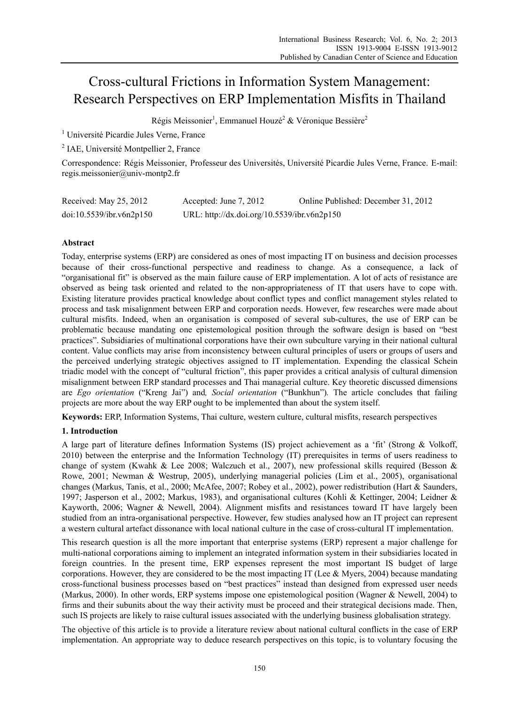# Cross-cultural Frictions in Information System Management: Research Perspectives on ERP Implementation Misfits in Thailand

Régis Meissonier<sup>1</sup>, Emmanuel Houzé<sup>2</sup> & Véronique Bessière<sup>2</sup>

<sup>1</sup> Université Picardie Jules Verne, France

2 IAE, Université Montpellier 2, France

Correspondence: Régis Meissonier, Professeur des Universités, Université Picardie Jules Verne, France. E-mail: regis.meissonier@univ-montp2.fr

| Received: May 25, 2012   | Accepted: June 7, 2012                      | Online Published: December 31, 2012 |
|--------------------------|---------------------------------------------|-------------------------------------|
| doi:10.5539/ibr.v6n2p150 | URL: http://dx.doi.org/10.5539/ibr.v6n2p150 |                                     |

### **Abstract**

Today, enterprise systems (ERP) are considered as ones of most impacting IT on business and decision processes because of their cross-functional perspective and readiness to change. As a consequence, a lack of "organisational fit" is observed as the main failure cause of ERP implementation. A lot of acts of resistance are observed as being task oriented and related to the non-appropriateness of IT that users have to cope with. Existing literature provides practical knowledge about conflict types and conflict management styles related to process and task misalignment between ERP and corporation needs. However, few researches were made about cultural misfits. Indeed, when an organisation is composed of several sub-cultures, the use of ERP can be problematic because mandating one epistemological position through the software design is based on "best practices". Subsidiaries of multinational corporations have their own subculture varying in their national cultural content. Value conflicts may arise from inconsistency between cultural principles of users or groups of users and the perceived underlying strategic objectives assigned to IT implementation. Expending the classical Schein triadic model with the concept of "cultural friction", this paper provides a critical analysis of cultural dimension misalignment between ERP standard processes and Thai managerial culture. Key theoretic discussed dimensions are *Ego orientation* ("Kreng Jai") and*, Social orientation* ("Bunkhun")*.* The article concludes that failing projects are more about the way ERP ought to be implemented than about the system itself.

**Keywords:** ERP, Information Systems, Thai culture, western culture, cultural misfits, research perspectives

## **1. Introduction**

A large part of literature defines Information Systems (IS) project achievement as a 'fit' (Strong & Volkoff, 2010) between the enterprise and the Information Technology (IT) prerequisites in terms of users readiness to change of system (Kwahk & Lee 2008; Walczuch et al., 2007), new professional skills required (Besson & Rowe, 2001; Newman & Westrup, 2005), underlying managerial policies (Lim et al., 2005), organisational changes (Markus, Tanis, et al., 2000; McAfee, 2007; Robey et al., 2002), power redistribution (Hart & Saunders, 1997; Jasperson et al., 2002; Markus, 1983), and organisational cultures (Kohli & Kettinger, 2004; Leidner & Kayworth, 2006; Wagner & Newell, 2004). Alignment misfits and resistances toward IT have largely been studied from an intra-organisational perspective. However, few studies analysed how an IT project can represent a western cultural artefact dissonance with local national culture in the case of cross-cultural IT implementation.

This research question is all the more important that enterprise systems (ERP) represent a major challenge for multi-national corporations aiming to implement an integrated information system in their subsidiaries located in foreign countries. In the present time, ERP expenses represent the most important IS budget of large corporations. However, they are considered to be the most impacting IT (Lee & Myers, 2004) because mandating cross-functional business processes based on "best practices" instead than designed from expressed user needs (Markus, 2000). In other words, ERP systems impose one epistemological position (Wagner & Newell, 2004) to firms and their subunits about the way their activity must be proceed and their strategical decisions made. Then, such IS projects are likely to raise cultural issues associated with the underlying business globalisation strategy.

The objective of this article is to provide a literature review about national cultural conflicts in the case of ERP implementation. An appropriate way to deduce research perspectives on this topic, is to voluntary focusing the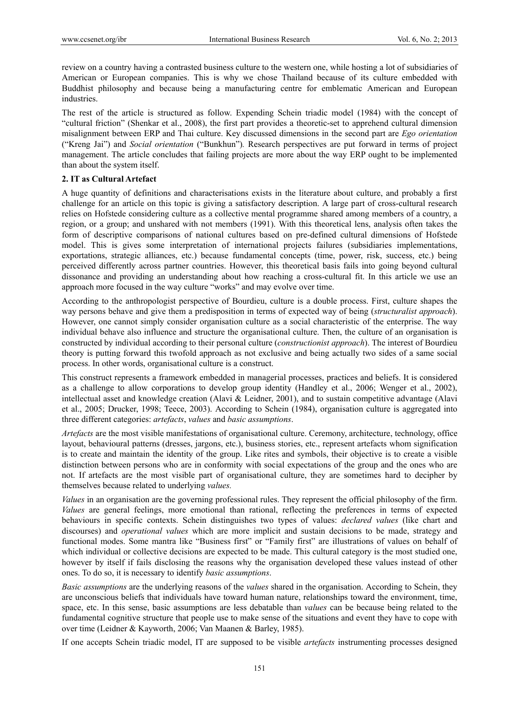review on a country having a contrasted business culture to the western one, while hosting a lot of subsidiaries of American or European companies. This is why we chose Thailand because of its culture embedded with Buddhist philosophy and because being a manufacturing centre for emblematic American and European industries.

The rest of the article is structured as follow. Expending Schein triadic model (1984) with the concept of "cultural friction" (Shenkar et al., 2008), the first part provides a theoretic-set to apprehend cultural dimension misalignment between ERP and Thai culture. Key discussed dimensions in the second part are *Ego orientation*  ("Kreng Jai") and *Social orientation* ("Bunkhun")*.* Research perspectives are put forward in terms of project management. The article concludes that failing projects are more about the way ERP ought to be implemented than about the system itself.

## **2. IT as Cultural Artefact**

A huge quantity of definitions and characterisations exists in the literature about culture, and probably a first challenge for an article on this topic is giving a satisfactory description. A large part of cross-cultural research relies on Hofstede considering culture as a collective mental programme shared among members of a country, a region, or a group; and unshared with not members (1991). With this theoretical lens, analysis often takes the form of descriptive comparisons of national cultures based on pre-defined cultural dimensions of Hofstede model. This is gives some interpretation of international projects failures (subsidiaries implementations, exportations, strategic alliances, etc.) because fundamental concepts (time, power, risk, success, etc.) being perceived differently across partner countries. However, this theoretical basis fails into going beyond cultural dissonance and providing an understanding about how reaching a cross-cultural fit. In this article we use an approach more focused in the way culture "works" and may evolve over time.

According to the anthropologist perspective of Bourdieu, culture is a double process. First, culture shapes the way persons behave and give them a predisposition in terms of expected way of being (*structuralist approach*). However, one cannot simply consider organisation culture as a social characteristic of the enterprise. The way individual behave also influence and structure the organisational culture. Then, the culture of an organisation is constructed by individual according to their personal culture (*constructionist approach*). The interest of Bourdieu theory is putting forward this twofold approach as not exclusive and being actually two sides of a same social process. In other words, organisational culture is a construct.

This construct represents a framework embedded in managerial processes, practices and beliefs. It is considered as a challenge to allow corporations to develop group identity (Handley et al., 2006; Wenger et al., 2002), intellectual asset and knowledge creation (Alavi & Leidner, 2001), and to sustain competitive advantage (Alavi et al., 2005; Drucker, 1998; Teece, 2003). According to Schein (1984), organisation culture is aggregated into three different categories: *artefacts*, *values* and *basic assumptions*.

*Artefacts* are the most visible manifestations of organisational culture. Ceremony, architecture, technology, office layout, behavioural patterns (dresses, jargons, etc.), business stories, etc., represent artefacts whom signification is to create and maintain the identity of the group. Like rites and symbols, their objective is to create a visible distinction between persons who are in conformity with social expectations of the group and the ones who are not. If artefacts are the most visible part of organisational culture, they are sometimes hard to decipher by themselves because related to underlying *values.* 

*Values* in an organisation are the governing professional rules. They represent the official philosophy of the firm. *Values* are general feelings, more emotional than rational, reflecting the preferences in terms of expected behaviours in specific contexts. Schein distinguishes two types of values: *declared values* (like chart and discourses) and *operational values* which are more implicit and sustain decisions to be made, strategy and functional modes. Some mantra like "Business first" or "Family first" are illustrations of values on behalf of which individual or collective decisions are expected to be made. This cultural category is the most studied one, however by itself if fails disclosing the reasons why the organisation developed these values instead of other ones. To do so, it is necessary to identify *basic assumptions*.

*Basic assumptions* are the underlying reasons of the *values* shared in the organisation. According to Schein, they are unconscious beliefs that individuals have toward human nature, relationships toward the environment, time, space, etc. In this sense, basic assumptions are less debatable than *values* can be because being related to the fundamental cognitive structure that people use to make sense of the situations and event they have to cope with over time (Leidner & Kayworth, 2006; Van Maanen & Barley, 1985).

If one accepts Schein triadic model, IT are supposed to be visible *artefacts* instrumenting processes designed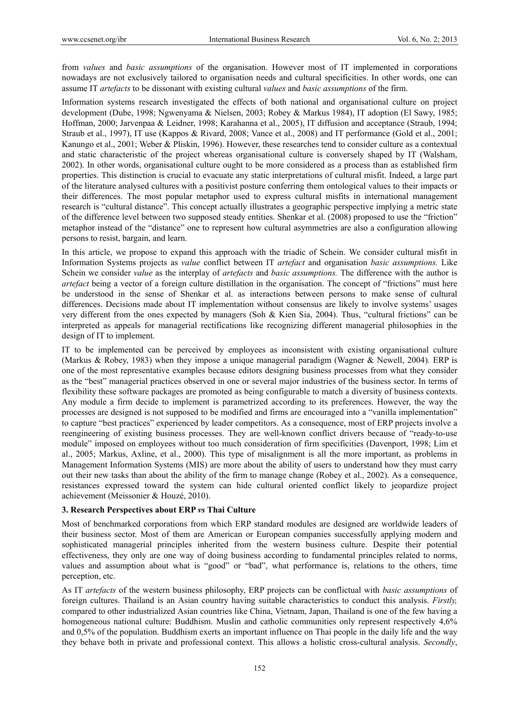from *values* and *basic assumptions* of the organisation. However most of IT implemented in corporations nowadays are not exclusively tailored to organisation needs and cultural specificities. In other words, one can assume IT *artefacts* to be dissonant with existing cultural *values* and *basic assumptions* of the firm.

Information systems research investigated the effects of both national and organisational culture on project development (Dube, 1998; Ngwenyama & Nielsen, 2003; Robey & Markus 1984), IT adoption (El Sawy, 1985; Hoffman, 2000; Jarvenpaa & Leidner, 1998; Karahanna et al., 2005), IT diffusion and acceptance (Straub, 1994; Straub et al., 1997), IT use (Kappos & Rivard, 2008; Vance et al., 2008) and IT performance (Gold et al., 2001; Kanungo et al., 2001; Weber & Pliskin, 1996). However, these researches tend to consider culture as a contextual and static characteristic of the project whereas organisational culture is conversely shaped by IT (Walsham, 2002). In other words, organisational culture ought to be more considered as a process than as established firm properties. This distinction is crucial to evacuate any static interpretations of cultural misfit. Indeed, a large part of the literature analysed cultures with a positivist posture conferring them ontological values to their impacts or their differences. The most popular metaphor used to express cultural misfits in international management research is "cultural distance". This concept actually illustrates a geographic perspective implying a metric state of the difference level between two supposed steady entities. Shenkar et al. (2008) proposed to use the "friction" metaphor instead of the "distance" one to represent how cultural asymmetries are also a configuration allowing persons to resist, bargain, and learn.

In this article, we propose to expand this approach with the triadic of Schein. We consider cultural misfit in Information Systems projects as *value* conflict between IT *artefact* and organisation *basic assumptions.* Like Schein we consider *value* as the interplay of *artefacts* and *basic assumptions.* The difference with the author is *artefact* being a vector of a foreign culture distillation in the organisation. The concept of "frictions" must here be understood in the sense of Shenkar et al. as interactions between persons to make sense of cultural differences. Decisions made about IT implementation without consensus are likely to involve systems' usages very different from the ones expected by managers (Soh & Kien Sia, 2004). Thus, "cultural frictions" can be interpreted as appeals for managerial rectifications like recognizing different managerial philosophies in the design of IT to implement.

IT to be implemented can be perceived by employees as inconsistent with existing organisational culture (Markus & Robey, 1983) when they impose a unique managerial paradigm (Wagner & Newell, 2004). ERP is one of the most representative examples because editors designing business processes from what they consider as the "best" managerial practices observed in one or several major industries of the business sector. In terms of flexibility these software packages are promoted as being configurable to match a diversity of business contexts. Any module a firm decide to implement is parametrized according to its preferences. However, the way the processes are designed is not supposed to be modified and firms are encouraged into a "vanilla implementation" to capture "best practices" experienced by leader competitors. As a consequence, most of ERP projects involve a reengineering of existing business processes. They are well-known conflict drivers because of "ready-to-use module" imposed on employees without too much consideration of firm specificities (Davenport, 1998; Lim et al., 2005; Markus, Axline, et al., 2000). This type of misalignment is all the more important, as problems in Management Information Systems (MIS) are more about the ability of users to understand how they must carry out their new tasks than about the ability of the firm to manage change (Robey et al., 2002). As a consequence, resistances expressed toward the system can hide cultural oriented conflict likely to jeopardize project achievement (Meissonier & Houzé, 2010).

#### **3. Research Perspectives about ERP** *vs* **Thai Culture**

Most of benchmarked corporations from which ERP standard modules are designed are worldwide leaders of their business sector. Most of them are American or European companies successfully applying modern and sophisticated managerial principles inherited from the western business culture. Despite their potential effectiveness, they only are one way of doing business according to fundamental principles related to norms, values and assumption about what is "good" or "bad", what performance is, relations to the others, time perception, etc.

As IT *artefacts* of the western business philosophy, ERP projects can be conflictual with *basic assumptions* of foreign cultures. Thailand is an Asian country having suitable characteristics to conduct this analysis. *Firstly,*  compared to other industrialized Asian countries like China, Vietnam, Japan, Thailand is one of the few having a homogeneous national culture: Buddhism. Muslin and catholic communities only represent respectively 4,6% and 0,5% of the population. Buddhism exerts an important influence on Thai people in the daily life and the way they behave both in private and professional context. This allows a holistic cross-cultural analysis. *Secondly*,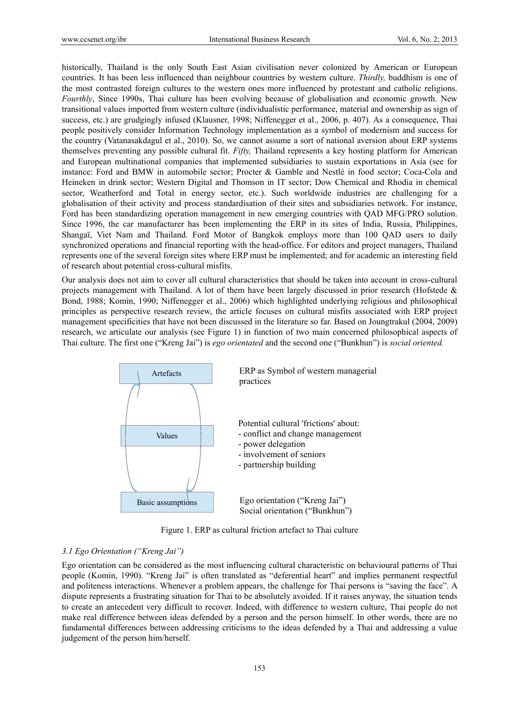historically, Thailand is the only South East Asian civilisation never colonized by American or European countries. It has been less influenced than neighbour countries by western culture. *Thirdly,* buddhism is one of the most contrasted foreign cultures to the western ones more influenced by protestant and catholic religions. *Fourthly*, Since 1990s, Thai culture has been evolving because of globalisation and economic growth. New transitional values imported from western culture (individualistic performance, material and ownership as sign of success, etc.) are grudgingly infused (Klausner, 1998; Niffenegger et al., 2006, p. 407). As a consequence, Thai people positively consider Information Technology implementation as a symbol of modernism and success for the country (Vatanasakdagul et al., 2010). So, we cannot assume a sort of national aversion about ERP systems themselves preventing any possible cultural fit. *Fifty,* Thailand represents a key hosting platform for American and European multinational companies that implemented subsidiaries to sustain exportations in Asia (see for instance: Ford and BMW in automobile sector; Procter & Gamble and Nestlé in food sector; Coca-Cola and Heineken in drink sector; Western Digital and Thomson in IT sector; Dow Chemical and Rhodia in chemical sector, Weatherford and Total in energy sector, etc.). Such worldwide industries are challenging for a globalisation of their activity and process standardisation of their sites and subsidiaries network. For instance, Ford has been standardizing operation management in new emerging countries with QAD MFG/PRO solution. Since 1996, the car manufacturer has been implementing the ERP in its sites of India, Russia, Philippines, Shangaï, Viet Nam and Thailand. Ford Motor of Bangkok employs more than 100 QAD users to daily synchronized operations and financial reporting with the head-office. For editors and project managers, Thailand represents one of the several foreign sites where ERP must be implemented; and for academic an interesting field of research about potential cross-cultural misfits.

Our analysis does not aim to cover all cultural characteristics that should be taken into account in cross-cultural projects management with Thailand. A lot of them have been largely discussed in prior research (Hofstede  $\&$ Bond, 1988; Komin, 1990; Niffenegger et al., 2006) which highlighted underlying religious and philosophical principles as perspective research review, the article focuses on cultural misfits associated with ERP project management specificities that have not been discussed in the literature so far. Based on Joungtrakul (2004, 2009) research, we articulate our analysis (see Figure 1) in function of two main concerned philosophical aspects of Thai culture. The first one ("Kreng Jai") is *ego orientated* and the second one ("Bunkhun") is *social oriented.* 



Figure 1. ERP as cultural friction artefact to Thai culture

## *3.1 Ego Orientation ("Kreng Jai")*

Ego orientation can be considered as the most influencing cultural characteristic on behavioural patterns of Thai people (Komin, 1990). "Kreng Jai" is often translated as "deferential heart" and implies permanent respectful and politeness interactions. Whenever a problem appears, the challenge for Thai persons is "saving the face". A dispute represents a frustrating situation for Thai to be absolutely avoided. If it raises anyway, the situation tends to create an antecedent very difficult to recover. Indeed, with difference to western culture, Thai people do not make real difference between ideas defended by a person and the person himself. In other words, there are no fundamental differences between addressing criticisms to the ideas defended by a Thai and addressing a value judgement of the person him/herself.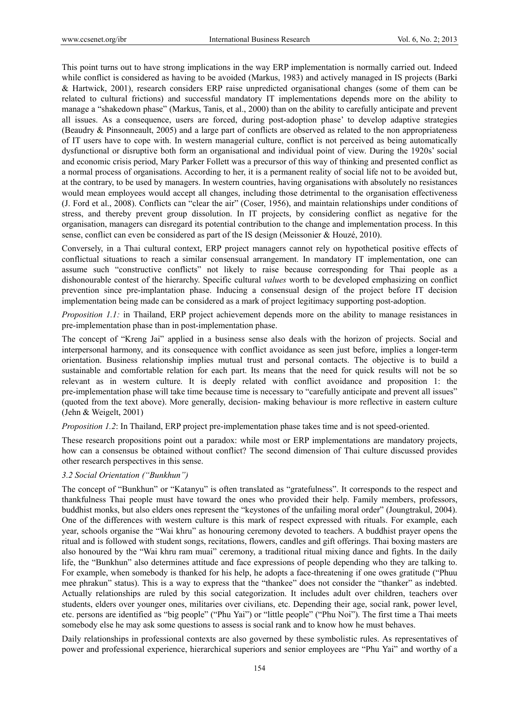This point turns out to have strong implications in the way ERP implementation is normally carried out. Indeed while conflict is considered as having to be avoided (Markus, 1983) and actively managed in IS projects (Barki & Hartwick, 2001), research considers ERP raise unpredicted organisational changes (some of them can be related to cultural frictions) and successful mandatory IT implementations depends more on the ability to manage a "shakedown phase" (Markus, Tanis, et al., 2000) than on the ability to carefully anticipate and prevent all issues. As a consequence, users are forced, during post-adoption phase' to develop adaptive strategies (Beaudry & Pinsonneault, 2005) and a large part of conflicts are observed as related to the non appropriateness of IT users have to cope with. In western managerial culture, conflict is not perceived as being automatically dysfunctional or disruptive both form an organisational and individual point of view. During the 1920s' social and economic crisis period, Mary Parker Follett was a precursor of this way of thinking and presented conflict as a normal process of organisations. According to her, it is a permanent reality of social life not to be avoided but, at the contrary, to be used by managers. In western countries, having organisations with absolutely no resistances would mean employees would accept all changes, including those detrimental to the organisation effectiveness (J. Ford et al., 2008). Conflicts can "clear the air" (Coser, 1956), and maintain relationships under conditions of stress, and thereby prevent group dissolution. In IT projects, by considering conflict as negative for the organisation, managers can disregard its potential contribution to the change and implementation process. In this sense, conflict can even be considered as part of the IS design (Meissonier & Houzé, 2010).

Conversely, in a Thai cultural context, ERP project managers cannot rely on hypothetical positive effects of conflictual situations to reach a similar consensual arrangement. In mandatory IT implementation, one can assume such "constructive conflicts" not likely to raise because corresponding for Thai people as a dishonourable contest of the hierarchy. Specific cultural *values* worth to be developed emphasizing on conflict prevention since pre-implantation phase. Inducing a consensual design of the project before IT decision implementation being made can be considered as a mark of project legitimacy supporting post-adoption.

*Proposition 1.1:* in Thailand, ERP project achievement depends more on the ability to manage resistances in pre-implementation phase than in post-implementation phase.

The concept of "Kreng Jai" applied in a business sense also deals with the horizon of projects. Social and interpersonal harmony, and its consequence with conflict avoidance as seen just before, implies a longer-term orientation. Business relationship implies mutual trust and personal contacts. The objective is to build a sustainable and comfortable relation for each part. Its means that the need for quick results will not be so relevant as in western culture. It is deeply related with conflict avoidance and proposition 1: the pre-implementation phase will take time because time is necessary to "carefully anticipate and prevent all issues" (quoted from the text above). More generally, decision- making behaviour is more reflective in eastern culture (Jehn & Weigelt, 2001)

*Proposition 1.2*: In Thailand, ERP project pre-implementation phase takes time and is not speed-oriented.

These research propositions point out a paradox: while most or ERP implementations are mandatory projects, how can a consensus be obtained without conflict? The second dimension of Thai culture discussed provides other research perspectives in this sense.

#### *3.2 Social Orientation ("Bunkhun")*

The concept of "Bunkhun" or "Katanyu" is often translated as "gratefulness". It corresponds to the respect and thankfulness Thai people must have toward the ones who provided their help. Family members, professors, buddhist monks, but also elders ones represent the "keystones of the unfailing moral order" (Joungtrakul, 2004). One of the differences with western culture is this mark of respect expressed with rituals. For example, each year, schools organise the "Wai khru" as honouring ceremony devoted to teachers. A buddhist prayer opens the ritual and is followed with student songs, recitations, flowers, candles and gift offerings. Thai boxing masters are also honoured by the "Wai khru ram muai" ceremony, a traditional ritual mixing dance and fights. In the daily life, the "Bunkhun" also determines attitude and face expressions of people depending who they are talking to. For example, when somebody is thanked for his help, he adopts a face-threatening if one owes gratitude ("Phuu mee phrakun" status). This is a way to express that the "thankee" does not consider the "thanker" as indebted. Actually relationships are ruled by this social categorization. It includes adult over children, teachers over students, elders over younger ones, militaries over civilians, etc. Depending their age, social rank, power level, etc. persons are identified as "big people" ("Phu Yai") or "little people" ("Phu Noi"). The first time a Thai meets somebody else he may ask some questions to assess is social rank and to know how he must behaves.

Daily relationships in professional contexts are also governed by these symbolistic rules. As representatives of power and professional experience, hierarchical superiors and senior employees are "Phu Yai" and worthy of a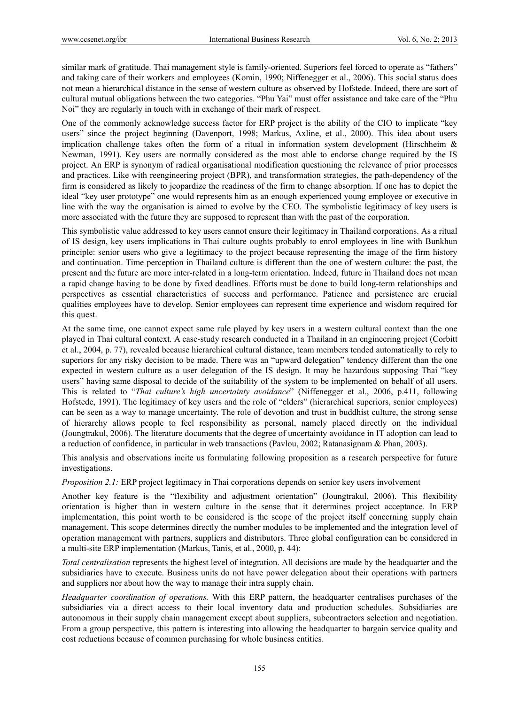similar mark of gratitude. Thai management style is family-oriented. Superiors feel forced to operate as "fathers" and taking care of their workers and employees (Komin, 1990; Niffenegger et al., 2006). This social status does not mean a hierarchical distance in the sense of western culture as observed by Hofstede. Indeed, there are sort of cultural mutual obligations between the two categories. "Phu Yai" must offer assistance and take care of the "Phu Noi" they are regularly in touch with in exchange of their mark of respect.

One of the commonly acknowledge success factor for ERP project is the ability of the CIO to implicate "key users" since the project beginning (Davenport, 1998; Markus, Axline, et al., 2000). This idea about users implication challenge takes often the form of a ritual in information system development (Hirschheim  $\&$ Newman, 1991). Key users are normally considered as the most able to endorse change required by the IS project. An ERP is synonym of radical organisational modification questioning the relevance of prior processes and practices. Like with reengineering project (BPR), and transformation strategies, the path-dependency of the firm is considered as likely to jeopardize the readiness of the firm to change absorption. If one has to depict the ideal "key user prototype" one would represents him as an enough experienced young employee or executive in line with the way the organisation is aimed to evolve by the CEO. The symbolistic legitimacy of key users is more associated with the future they are supposed to represent than with the past of the corporation.

This symbolistic value addressed to key users cannot ensure their legitimacy in Thailand corporations. As a ritual of IS design, key users implications in Thai culture oughts probably to enrol employees in line with Bunkhun principle: senior users who give a legitimacy to the project because representing the image of the firm history and continuation. Time perception in Thailand culture is different than the one of western culture: the past, the present and the future are more inter-related in a long-term orientation. Indeed, future in Thailand does not mean a rapid change having to be done by fixed deadlines. Efforts must be done to build long-term relationships and perspectives as essential characteristics of success and performance. Patience and persistence are crucial qualities employees have to develop. Senior employees can represent time experience and wisdom required for this quest.

At the same time, one cannot expect same rule played by key users in a western cultural context than the one played in Thai cultural context. A case-study research conducted in a Thailand in an engineering project (Corbitt et al., 2004, p. 77), revealed because hierarchical cultural distance, team members tended automatically to rely to superiors for any risky decision to be made. There was an "upward delegation" tendency different than the one expected in western culture as a user delegation of the IS design. It may be hazardous supposing Thai "key users" having same disposal to decide of the suitability of the system to be implemented on behalf of all users. This is related to "*Thai culture's high uncertainty avoidance*" (Niffenegger et al., 2006, p.411, following Hofstede, 1991). The legitimacy of key users and the role of "elders" (hierarchical superiors, senior employees) can be seen as a way to manage uncertainty. The role of devotion and trust in buddhist culture, the strong sense of hierarchy allows people to feel responsibility as personal, namely placed directly on the individual (Joungtrakul, 2006). The literature documents that the degree of uncertainty avoidance in IT adoption can lead to a reduction of confidence, in particular in web transactions (Pavlou, 2002; Ratanasignam & Phan, 2003).

This analysis and observations incite us formulating following proposition as a research perspective for future investigations.

*Proposition 2.1:* ERP project legitimacy in Thai corporations depends on senior key users involvement

Another key feature is the "flexibility and adjustment orientation" (Joungtrakul, 2006). This flexibility orientation is higher than in western culture in the sense that it determines project acceptance. In ERP implementation, this point worth to be considered is the scope of the project itself concerning supply chain management. This scope determines directly the number modules to be implemented and the integration level of operation management with partners, suppliers and distributors. Three global configuration can be considered in a multi-site ERP implementation (Markus, Tanis, et al., 2000, p. 44):

*Total centralisation* represents the highest level of integration. All decisions are made by the headquarter and the subsidiaries have to execute. Business units do not have power delegation about their operations with partners and suppliers nor about how the way to manage their intra supply chain.

*Headquarter coordination of operations.* With this ERP pattern, the headquarter centralises purchases of the subsidiaries via a direct access to their local inventory data and production schedules. Subsidiaries are autonomous in their supply chain management except about suppliers, subcontractors selection and negotiation. From a group perspective, this pattern is interesting into allowing the headquarter to bargain service quality and cost reductions because of common purchasing for whole business entities.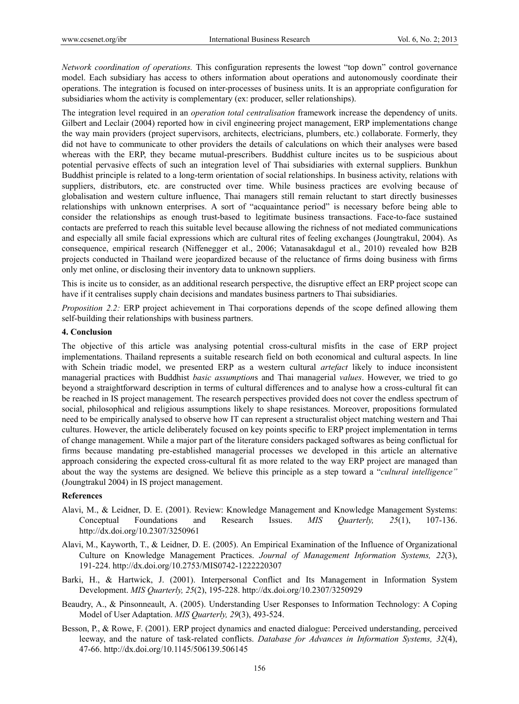*Network coordination of operations.* This configuration represents the lowest "top down" control governance model. Each subsidiary has access to others information about operations and autonomously coordinate their operations. The integration is focused on inter-processes of business units. It is an appropriate configuration for subsidiaries whom the activity is complementary (ex: producer, seller relationships).

The integration level required in an *operation total centralisation* framework increase the dependency of units. Gilbert and Leclair (2004) reported how in civil engineering project management, ERP implementations change the way main providers (project supervisors, architects, electricians, plumbers, etc.) collaborate. Formerly, they did not have to communicate to other providers the details of calculations on which their analyses were based whereas with the ERP, they became mutual-prescribers. Buddhist culture incites us to be suspicious about potential pervasive effects of such an integration level of Thai subsidiaries with external suppliers. Bunkhun Buddhist principle is related to a long-term orientation of social relationships. In business activity, relations with suppliers, distributors, etc. are constructed over time. While business practices are evolving because of globalisation and western culture influence, Thai managers still remain reluctant to start directly businesses relationships with unknown enterprises. A sort of "acquaintance period" is necessary before being able to consider the relationships as enough trust-based to legitimate business transactions. Face-to-face sustained contacts are preferred to reach this suitable level because allowing the richness of not mediated communications and especially all smile facial expressions which are cultural rites of feeling exchanges (Joungtrakul, 2004). As consequence, empirical research (Niffenegger et al., 2006; Vatanasakdagul et al., 2010) revealed how B2B projects conducted in Thailand were jeopardized because of the reluctance of firms doing business with firms only met online, or disclosing their inventory data to unknown suppliers.

This is incite us to consider, as an additional research perspective, the disruptive effect an ERP project scope can have if it centralises supply chain decisions and mandates business partners to Thai subsidiaries.

*Proposition 2.2:* ERP project achievement in Thai corporations depends of the scope defined allowing them self-building their relationships with business partners.

#### **4. Conclusion**

The objective of this article was analysing potential cross-cultural misfits in the case of ERP project implementations. Thailand represents a suitable research field on both economical and cultural aspects. In line with Schein triadic model, we presented ERP as a western cultural *artefact* likely to induce inconsistent managerial practices with Buddhist *basic assumption*s and Thai managerial *values*. However, we tried to go beyond a straightforward description in terms of cultural differences and to analyse how a cross-cultural fit can be reached in IS project management. The research perspectives provided does not cover the endless spectrum of social, philosophical and religious assumptions likely to shape resistances. Moreover, propositions formulated need to be empirically analysed to observe how IT can represent a structuralist object matching western and Thai cultures. However, the article deliberately focused on key points specific to ERP project implementation in terms of change management. While a major part of the literature considers packaged softwares as being conflictual for firms because mandating pre-established managerial processes we developed in this article an alternative approach considering the expected cross-cultural fit as more related to the way ERP project are managed than about the way the systems are designed. We believe this principle as a step toward a "*cultural intelligence"*  (Joungtrakul 2004) in IS project management.

#### **References**

- Alavi, M., & Leidner, D. E. (2001). Review: Knowledge Management and Knowledge Management Systems: Conceptual Foundations and Research Issues. *MIS Quarterly, 25*(1), 107-136. http://dx.doi.org/10.2307/3250961
- Alavi, M., Kayworth, T., & Leidner, D. E. (2005). An Empirical Examination of the Influence of Organizational Culture on Knowledge Management Practices. *Journal of Management Information Systems, 22*(3), 191-224. http://dx.doi.org/10.2753/MIS0742-1222220307
- Barki, H., & Hartwick, J. (2001). Interpersonal Conflict and Its Management in Information System Development. *MIS Quarterly, 25*(2), 195-228. http://dx.doi.org/10.2307/3250929
- Beaudry, A., & Pinsonneault, A. (2005). Understanding User Responses to Information Technology: A Coping Model of User Adaptation. *MIS Quarterly, 29*(3), 493-524.
- Besson, P., & Rowe, F. (2001). ERP project dynamics and enacted dialogue: Perceived understanding, perceived leeway, and the nature of task-related conflicts. *Database for Advances in Information Systems, 32*(4), 47-66. http://dx.doi.org/10.1145/506139.506145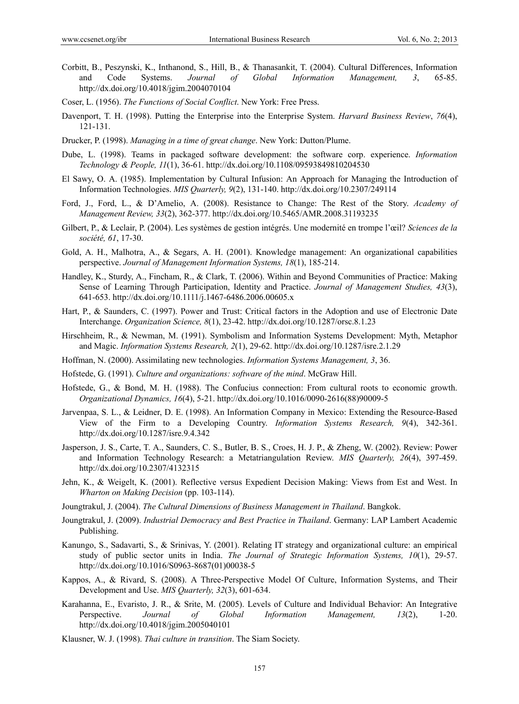- Corbitt, B., Peszynski, K., Inthanond, S., Hill, B., & Thanasankit, T. (2004). Cultural Differences, Information and Code Systems. *Journal of Global Information Management, 3*, 65-85. http://dx.doi.org/10.4018/jgim.2004070104
- Coser, L. (1956). *The Functions of Social Conflict*. New York: Free Press.
- Davenport, T. H. (1998). Putting the Enterprise into the Enterprise System. *Harvard Business Review*, *76*(4), 121-131.
- Drucker, P. (1998). *Managing in a time of great change*. New York: Dutton/Plume.
- Dube, L. (1998). Teams in packaged software development: the software corp. experience. *Information Technology & People, 11*(1), 36-61. http://dx.doi.org/10.1108/09593849810204530
- El Sawy, O. A. (1985). Implementation by Cultural Infusion: An Approach for Managing the Introduction of Information Technologies. *MIS Quarterly, 9*(2), 131-140. http://dx.doi.org/10.2307/249114
- Ford, J., Ford, L., & D'Amelio, A. (2008). Resistance to Change: The Rest of the Story. *Academy of Management Review, 33*(2), 362-377. http://dx.doi.org/10.5465/AMR.2008.31193235
- Gilbert, P., & Leclair, P. (2004). Les systèmes de gestion intégrés. Une modernité en trompe l'œil? *Sciences de la société, 61*, 17-30.
- Gold, A. H., Malhotra, A., & Segars, A. H. (2001). Knowledge management: An organizational capabilities perspective. *Journal of Management Information Systems, 18*(1), 185-214.
- Handley, K., Sturdy, A., Fincham, R., & Clark, T. (2006). Within and Beyond Communities of Practice: Making Sense of Learning Through Participation, Identity and Practice. *Journal of Management Studies, 43*(3), 641-653. http://dx.doi.org/10.1111/j.1467-6486.2006.00605.x
- Hart, P., & Saunders, C. (1997). Power and Trust: Critical factors in the Adoption and use of Electronic Date Interchange. *Organization Science, 8*(1), 23-42. http://dx.doi.org/10.1287/orsc.8.1.23
- Hirschheim, R., & Newman, M. (1991). Symbolism and Information Systems Development: Myth, Metaphor and Magic. *Information Systems Research, 2*(1), 29-62. http://dx.doi.org/10.1287/isre.2.1.29
- Hoffman, N. (2000). Assimilating new technologies. *Information Systems Management, 3*, 36.
- Hofstede, G. (1991). *Culture and organizations: software of the mind*. McGraw Hill.
- Hofstede, G., & Bond, M. H. (1988). The Confucius connection: From cultural roots to economic growth. *Organizational Dynamics, 16*(4), 5-21. http://dx.doi.org/10.1016/0090-2616(88)90009-5
- Jarvenpaa, S. L., & Leidner, D. E. (1998). An Information Company in Mexico: Extending the Resource-Based View of the Firm to a Developing Country. *Information Systems Research, 9*(4), 342-361. http://dx.doi.org/10.1287/isre.9.4.342
- Jasperson, J. S., Carte, T. A., Saunders, C. S., Butler, B. S., Croes, H. J. P., & Zheng, W. (2002). Review: Power and Information Technology Research: a Metatriangulation Review. *MIS Quarterly, 26*(4), 397-459. http://dx.doi.org/10.2307/4132315
- Jehn, K., & Weigelt, K. (2001). Reflective versus Expedient Decision Making: Views from Est and West. In *Wharton on Making Decision* (pp. 103-114).
- Joungtrakul, J. (2004). *The Cultural Dimensions of Business Management in Thailand*. Bangkok.
- Joungtrakul, J. (2009). *Industrial Democracy and Best Practice in Thailand*. Germany: LAP Lambert Academic Publishing.
- Kanungo, S., Sadavarti, S., & Srinivas, Y. (2001). Relating IT strategy and organizational culture: an empirical study of public sector units in India. *The Journal of Strategic Information Systems, 10*(1), 29-57. http://dx.doi.org/10.1016/S0963-8687(01)00038-5
- Kappos, A., & Rivard, S. (2008). A Three-Perspective Model Of Culture, Information Systems, and Their Development and Use. *MIS Quarterly, 32*(3), 601-634.
- Karahanna, E., Evaristo, J. R., & Srite, M. (2005). Levels of Culture and Individual Behavior: An Integrative Perspective. *Journal of Global Information Management, 13*(2), 1-20. http://dx.doi.org/10.4018/jgim.2005040101
- Klausner, W. J. (1998). *Thai culture in transition*. The Siam Society.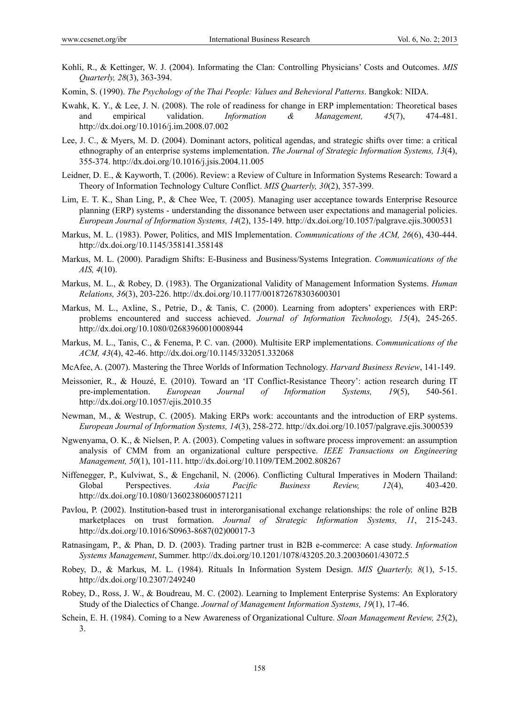- Kohli, R., & Kettinger, W. J. (2004). Informating the Clan: Controlling Physicians' Costs and Outcomes. *MIS Quarterly, 28*(3), 363-394.
- Komin, S. (1990). *The Psychology of the Thai People: Values and Behevioral Patterns*. Bangkok: NIDA.
- Kwahk, K. Y., & Lee, J. N. (2008). The role of readiness for change in ERP implementation: Theoretical bases and empirical validation. *Information & Management, 45*(7), 474-481. http://dx.doi.org/10.1016/j.im.2008.07.002
- Lee, J. C., & Myers, M. D. (2004). Dominant actors, political agendas, and strategic shifts over time: a critical ethnography of an enterprise systems implementation. *The Journal of Strategic Information Systems, 13*(4), 355-374. http://dx.doi.org/10.1016/j.jsis.2004.11.005
- Leidner, D. E., & Kayworth, T. (2006). Review: a Review of Culture in Information Systems Research: Toward a Theory of Information Technology Culture Conflict. *MIS Quarterly, 30*(2), 357-399.
- Lim, E. T. K., Shan Ling, P., & Chee Wee, T. (2005). Managing user acceptance towards Enterprise Resource planning (ERP) systems - understanding the dissonance between user expectations and managerial policies. *European Journal of Information Systems, 14*(2), 135-149. http://dx.doi.org/10.1057/palgrave.ejis.3000531
- Markus, M. L. (1983). Power, Politics, and MIS Implementation. *Communications of the ACM, 26*(6), 430-444. http://dx.doi.org/10.1145/358141.358148
- Markus, M. L. (2000). Paradigm Shifts: E-Business and Business/Systems Integration. *Communications of the AIS, 4*(10).
- Markus, M. L., & Robey, D. (1983). The Organizational Validity of Management Information Systems. *Human Relations, 36*(3), 203-226. http://dx.doi.org/10.1177/001872678303600301
- Markus, M. L., Axline, S., Petrie, D., & Tanis, C. (2000). Learning from adopters' experiences with ERP: problems encountered and success achieved. *Journal of Information Technology, 15*(4), 245-265. http://dx.doi.org/10.1080/02683960010008944
- Markus, M. L., Tanis, C., & Fenema, P. C. van. (2000). Multisite ERP implementations. *Communications of the ACM, 43*(4), 42-46. http://dx.doi.org/10.1145/332051.332068
- McAfee, A. (2007). Mastering the Three Worlds of Information Technology. *Harvard Business Review*, 141-149.
- Meissonier, R., & Houzé, E. (2010). Toward an 'IT Conflict-Resistance Theory': action research during IT pre-implementation. *European Journal of Information Systems, 19*(5), 540-561. http://dx.doi.org/10.1057/ejis.2010.35
- Newman, M., & Westrup, C. (2005). Making ERPs work: accountants and the introduction of ERP systems. *European Journal of Information Systems, 14*(3), 258-272. http://dx.doi.org/10.1057/palgrave.ejis.3000539
- Ngwenyama, O. K., & Nielsen, P. A. (2003). Competing values in software process improvement: an assumption analysis of CMM from an organizational culture perspective. *IEEE Transactions on Engineering Management, 50*(1), 101-111. http://dx.doi.org/10.1109/TEM.2002.808267
- Niffenegger, P., Kulviwat, S., & Engchanil, N. (2006). Conflicting Cultural Imperatives in Modern Thailand: Global Perspectives. *Asia Pacific Business Review, 12*(4), 403-420. http://dx.doi.org/10.1080/13602380600571211
- Pavlou, P. (2002). Institution-based trust in interorganisational exchange relationships: the role of online B2B marketplaces on trust formation. *Journal of Strategic Information Systems, 11*, 215-243. http://dx.doi.org/10.1016/S0963-8687(02)00017-3
- Ratnasingam, P., & Phan, D. D. (2003). Trading partner trust in B2B e-commerce: A case study. *Information Systems Management*, Summer. http://dx.doi.org/10.1201/1078/43205.20.3.20030601/43072.5
- Robey, D., & Markus, M. L. (1984). Rituals In Information System Design. *MIS Quarterly, 8*(1), 5-15. http://dx.doi.org/10.2307/249240
- Robey, D., Ross, J. W., & Boudreau, M. C. (2002). Learning to Implement Enterprise Systems: An Exploratory Study of the Dialectics of Change. *Journal of Management Information Systems, 19*(1), 17-46.
- Schein, E. H. (1984). Coming to a New Awareness of Organizational Culture. *Sloan Management Review, 25*(2), 3.